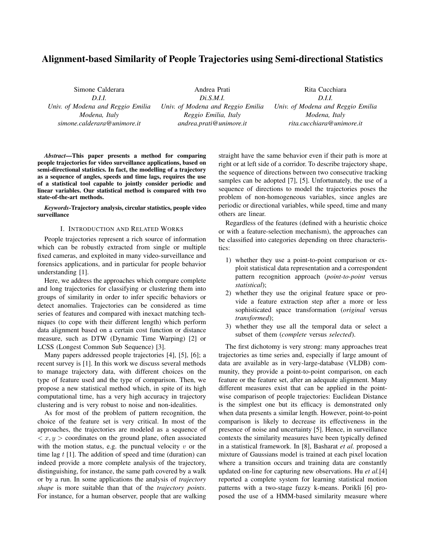# Alignment-based Similarity of People Trajectories using Semi-directional Statistics

Simone Calderara *D.I.I. Univ. of Modena and Reggio Emilia Modena, Italy simone.calderara@unimore.it*

Andrea Prati *Di.S.M.I. Univ. of Modena and Reggio Emilia Reggio Emilia, Italy andrea.prati@unimore.it*

Rita Cucchiara *D.I.I. Univ. of Modena and Reggio Emilia Modena, Italy rita.cucchiara@unimore.it*

*Abstract*—This paper presents a method for comparing people trajectories for video surveillance applications, based on semi-directional statistics. In fact, the modelling of a trajectory as a sequence of angles, speeds and time lags, requires the use of a statistical tool capable to jointly consider periodic and linear variables. Our statistical method is compared with two state-of-the-art methods.

*Keywords*-Trajectory analysis, circular statistics, people video surveillance

# I. INTRODUCTION AND RELATED WORKS

People trajectories represent a rich source of information which can be robustly extracted from single or multiple fixed cameras, and exploited in many video-surveillance and forensics applications, and in particular for people behavior understanding [1].

Here, we address the approaches which compare complete and long trajectories for classifying or clustering them into groups of similarity in order to infer specific behaviors or detect anomalies. Trajectories can be considered as time series of features and compared with inexact matching techniques (to cope with their different length) which perform data alignment based on a certain cost function or distance measure, such as DTW (Dynamic Time Warping) [2] or LCSS (Longest Common Sub Sequence) [3].

Many papers addressed people trajectories [4], [5], [6]; a recent survey is [1]. In this work we discuss several methods to manage trajectory data, with different choices on the type of feature used and the type of comparison. Then, we propose a new statistical method which, in spite of its high computational time, has a very high accuracy in trajectory clustering and is very robust to noise and non-idealities.

As for most of the problem of pattern recognition, the choice of the feature set is very critical. In most of the approaches, the trajectories are modeled as a sequence of  $\langle x, y \rangle$  coordinates on the ground plane, often associated with the motion status, e.g. the punctual velocity  $v$  or the time lag  $t$  [1]. The addition of speed and time (duration) can indeed provide a more complete analysis of the trajectory, distinguishing, for instance, the same path covered by a walk or by a run. In some applications the analysis of *trajectory shape* is more suitable than that of the *trajectory points*. For instance, for a human observer, people that are walking straight have the same behavior even if their path is more at right or at left side of a corridor. To describe trajectory shape, the sequence of directions between two consecutive tracking samples can be adopted [7], [5]. Unfortunately, the use of a sequence of directions to model the trajectories poses the problem of non-homogeneous variables, since angles are periodic or directional variables, while speed, time and many others are linear.

Regardless of the features (defined with a heuristic choice or with a feature-selection mechanism), the approaches can be classified into categories depending on three characteristics:

- 1) whether they use a point-to-point comparison or exploit statistical data representation and a correspondent pattern recognition approach (*point-to-point* versus *statistical*);
- 2) whether they use the original feature space or provide a feature extraction step after a more or less sophisticated space transformation (*original* versus *transformed*);
- 3) whether they use all the temporal data or select a subset of them (*complete* versus *selected*).

The first dichotomy is very strong: many approaches treat trajectories as time series and, especially if large amount of data are available as in very-large-database (VLDB) community, they provide a point-to-point comparison, on each feature or the feature set, after an adequate alignment. Many different measures exist that can be applied in the pointwise comparison of people trajectories: Euclidean Distance is the simplest one but its efficacy is demonstrated only when data presents a similar length. However, point-to-point comparison is likely to decrease its effectiveness in the presence of noise and uncertainty [5]. Hence, in surveillance contexts the similarity measures have been typically defined in a statistical framework. In [8], Basharat *et al.* proposed a mixture of Gaussians model is trained at each pixel location where a transition occurs and training data are constantly updated on-line for capturing new observations. Hu *et al.*[4] reported a complete system for learning statistical motion patterns with a two-stage fuzzy k-means. Porikli [6] proposed the use of a HMM-based similarity measure where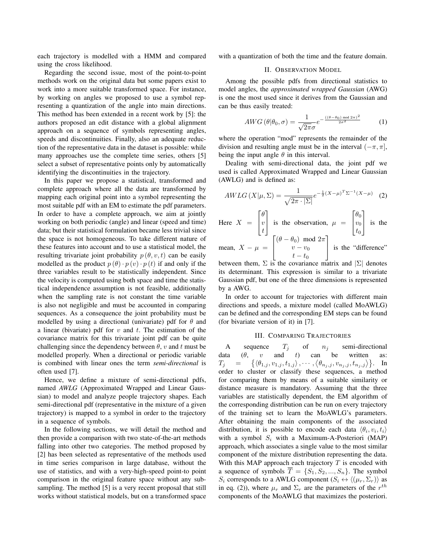each trajectory is modelled with a HMM and compared using the cross likelihood.

Regarding the second issue, most of the point-to-point methods work on the original data but some papers exist to work into a more suitable transformed space. For instance, by working on angles we proposed to use a symbol representing a quantization of the angle into main directions. This method has been extended in a recent work by [5]: the authors proposed an edit distance with a global alignment approach on a sequence of symbols representing angles, speeds and discontinuities. Finally, also an adequate reduction of the representative data in the dataset is possible: while many approaches use the complete time series, others [5] select a subset of representative points only by automatically identifying the discontinuities in the trajectory.

In this paper we propose a statistical, transformed and complete approach where all the data are transformed by mapping each original point into a symbol representing the most suitable pdf with an EM to estimate the pdf parameters. In order to have a complete approach, we aim at jointly working on both periodic (angle) and linear (speed and time) data; but their statistical formulation became less trivial since the space is not homogeneous. To take different nature of these features into account and to use a statistical model, the resulting trivariate joint probability  $p(\theta, v, t)$  can be easily modelled as the product  $p(\theta) \cdot p(v) \cdot p(t)$  if and only if the three variables result to be statistically independent. Since the velocity is computed using both space and time the statistical independence assumption is not feasible, additionally when the sampling rate is not constant the time variable is also not negligible and must be accounted in comparing sequences. As a consequence the joint probability must be modelled by using a directional (univariate) pdf for  $\theta$  and a linear (bivariate) pdf for  $v$  and  $t$ . The estimation of the covariance matrix for this trivariate joint pdf can be quite challenging since the dependency between  $\theta$ ,  $v$  and  $t$  must be modelled properly. When a directional or periodic variable is combined with linear ones the term *semi-directional* is often used [7].

Hence, we define a mixture of semi-directional pdfs, named *AWLG* (Approximated Wrapped and Linear Gaussian) to model and analyze people trajectory shapes. Each semi-directional pdf (representative in the mixture of a given trajectory) is mapped to a symbol in order to the trajectory in a sequence of symbols.

In the following sections, we will detail the method and then provide a comparison with two state-of-the-art methods falling into other two categories. The method proposed by [2] has been selected as representative of the methods used in time series comparison in large database, without the use of statistics, and with a very-high-speed point-to point comparison in the original feature space without any subsampling. The method [5] is a very recent proposal that still works without statistical models, but on a transformed space with a quantization of both the time and the feature domain.

# II. OBSERVATION MODEL

Among the possible pdfs from directional statistics to model angles, the *approximated wrapped Gaussian* (AWG) is one the most used since it derives from the Gaussian and can be thus easily treated:

$$
AWG\left(\theta|\theta_0,\sigma\right) = \frac{1}{\sqrt{2\pi}\sigma}e^{-\frac{\left((\theta-\theta_0)\text{ mod }2\pi\right)^2}{2\sigma^2}}\tag{1}
$$

where the operation "mod" represents the remainder of the division and resulting angle must be in the interval  $(-\pi, \pi]$ , being the input angle  $\theta$  in this interval.

Dealing with semi-directional data, the joint pdf we used is called Approximated Wrapped and Linear Gaussian (AWLG) and is defined as:

$$
AWLG\left(X|\mu,\Sigma\right) = \frac{1}{\sqrt{2\pi \cdot |\Sigma|}} e^{-\frac{1}{2}(X-\mu)^T \Sigma^{-1}(X-\mu)}
$$
 (2)

Here 
$$
X = \begin{bmatrix} \theta \\ v \\ t \end{bmatrix}
$$
 is the observation,  $\mu = \begin{bmatrix} \theta_0 \\ v_0 \\ t_0 \end{bmatrix}$  is the   

$$
\begin{bmatrix} (\theta - \theta_0) \mod 2\pi \end{bmatrix}
$$

mean,  $X - \mu =$  $\overline{\phantom{a}}$  $v - v_0$  $t-t_0$ is the "difference"

between them,  $\Sigma$  is the covariance matrix and  $\Sigma$  denotes its determinant. This expression is similar to a trivariate Gaussian pdf, but one of the three dimensions is represented by a AWG.

In order to account for trajectories with different main directions and speeds, a mixture model (called MoAWLG) can be defined and the corresponding EM steps can be found (for bivariate version of it) in [7].

#### III. COMPARING TRAJECTORIES

A sequence  $T_j$  of  $n_j$  semi-directional data  $(\theta, v \text{ and } t)$  can be written as:  $T_i =$  $\{\langle \theta_{1,j}, v_{1,j}, t_{1,j}\rangle, \cdots, \langle \theta_{n_j,j}, v_{n_j,j}, t_{n_j,j}\rangle\}$ . In order to cluster or classify these sequences, a method for comparing them by means of a suitable similarity or distance measure is mandatory. Assuming that the three variables are statistically dependent, the EM algorithm of the corresponding distribution can be run on every trajectory of the training set to learn the MoAWLG's parameters. After obtaining the main components of the associated distribution, it is possible to encode each data  $\langle \theta_i, v_i, t_i \rangle$ with a symbol  $S_i$  with a Maximum-A-Posteriori (MAP) approach, which associates a single value to the most similar component of the mixture distribution representing the data. With this MAP approach each trajectory  $T$  is encoded with a sequence of symbols  $\overline{T} = \{S_1, S_2, ..., S_n\}$ . The symbol  $S_i$  corresponds to a AWLG component  $(S_i \leftrightarrow \langle (\mu_r, \Sigma_r) \rangle)$  as in eq. (2)), where  $\mu_r$  and  $\Sigma_r$  are the parameters of the  $r^{th}$ components of the MoAWLG that maximizes the posteriori.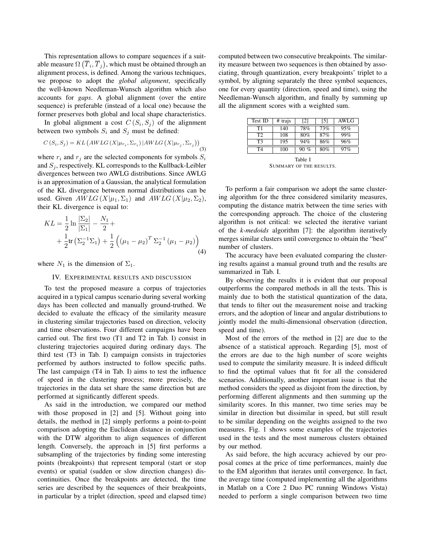This representation allows to compare sequences if a suitable measure  $\Omega\left(\overline{T}_{i},\overline{T}_{j}\right)$ , which must be obtained through an alignment process, is defined. Among the various techniques, we propose to adopt the *global alignment*, specifically the well-known Needleman-Wunsch algorithm which also accounts for *gaps*. A global alignment (over the entire sequence) is preferable (instead of a local one) because the former preserves both global and local shape characteristics.

In global alignment a cost  $C(S_i, S_j)$  of the alignment between two symbols  $S_i$  and  $S_j$  must be defined:

$$
C(S_i, S_j) = KL\left(AWLG\left(X|\mu_{r_i}, \Sigma_{r_i}\right)|AWLG\left(X|\mu_{r_j}, \Sigma_{r_j}\right)\right)_{(3)}
$$

where  $r_i$  and  $r_j$  are the selected components for symbols  $S_i$ and  $S_i$ , respectively. KL corresponds to the Kullback-Leibler divergences between two AWLG distributions. Since AWLG is an approximation of a Gaussian, the analytical formulation of the KL divergence between normal distributions can be used. Given  $AWLG(X|\mu_1, \Sigma_1)$  and  $AWLG(X|\mu_2, \Sigma_2)$ , their KL divergence is equal to:

$$
KL = \frac{1}{2} \ln \frac{|\Sigma_2|}{|\Sigma_1|} - \frac{N_1}{2} +
$$
  
+  $\frac{1}{2}$ tr $(\Sigma_2^{-1} \Sigma_1) + \frac{1}{2} ((\mu_1 - \mu_2)^T \Sigma_2^{-1} (\mu_1 - \mu_2))$   
(4)

where  $N_1$  is the dimension of  $\Sigma_1$ .

# IV. EXPERIMENTAL RESULTS AND DISCUSSION

To test the proposed measure a corpus of trajectories acquired in a typical campus scenario during several working days has been collected and manually ground-truthed. We decided to evaluate the efficacy of the similarity measure in clustering similar trajectories based on direction, velocity and time observations. Four different campaigns have been carried out. The first two (T1 and T2 in Tab. I) consist in clustering trajectories acquired during ordinary days. The third test (T3 in Tab. I) campaign consists in trajectories performed by authors instructed to follow specific paths. The last campaign (T4 in Tab. I) aims to test the influence of speed in the clustering process; more precisely, the trajectories in the data set share the same direction but are performed at significantly different speeds.

As said in the introduction, we compared our method with those proposed in [2] and [5]. Without going into details, the method in [2] simply performs a point-to-point comparison adopting the Euclidean distance in conjunction with the DTW algorithm to align sequences of different length. Conversely, the approach in [5] first performs a subsampling of the trajectories by finding some interesting points (breakpoints) that represent temporal (start or stop events) or spatial (sudden or slow direction changes) discontinuities. Once the breakpoints are detected, the time series are described by the sequences of their breakpoints, in particular by a triplet (direction, speed and elapsed time) computed between two consecutive breakpoints. The similarity measure between two sequences is then obtained by associating, through quantization, every breakpoints' triplet to a symbol, by aligning separately the three symbol sequences, one for every quantity (direction, speed and time), using the Needleman-Wunsch algorithm, and finally by summing up all the alignment scores with a weighted sum.

| Test ID        | $#$ trajs | [2]    | [5] | AWLG |
|----------------|-----------|--------|-----|------|
| T1             | 140       | 78%    | 73% | 95%  |
| T <sub>2</sub> | 108       | 80%    | 87% | 99%  |
| T <sub>3</sub> | 195       | 94%    | 86% | 96%  |
| T4             | 100       | $90\%$ | 80% | 97%  |
| Table I        |           |        |     |      |

SUMMARY OF THE RESULTS.

To perform a fair comparison we adopt the same clustering algorithm for the three considered similarity measures, computing the distance matrix between the time series with the corresponding approach. The choice of the clustering algorithm is not critical: we selected the iterative variant of the *k-medoids* algorithm [7]: the algorithm iteratively merges similar clusters until convergence to obtain the "best" number of clusters.

The accuracy have been evaluated comparing the clustering results against a manual ground truth and the results are summarized in Tab. I.

By observing the results it is evident that our proposal outperforms the compared methods in all the tests. This is mainly due to both the statistical quantization of the data, that tends to filter out the measurement noise and tracking errors, and the adoption of linear and angular distributions to jointly model the multi-dimensional observation (direction, speed and time).

Most of the errors of the method in [2] are due to the absence of a statistical approach. Regarding [5], most of the errors are due to the high number of score weights used to compute the similarity measure. It is indeed difficult to find the optimal values that fit for all the considered scenarios. Additionally, another important issue is that the method considers the speed as disjoint from the direction, by performing different alignments and then summing up the similarity scores. In this manner, two time series may be similar in direction but dissimilar in speed, but still result to be similar depending on the weights assigned to the two measures. Fig. 1 shows some examples of the trajectories used in the tests and the most numerous clusters obtained by our method.

As said before, the high accuracy achieved by our proposal comes at the price of time performances, mainly due to the EM algorithm that iterates until convergence. In fact, the average time (computed implementing all the algorithms in Matlab on a Core 2 Duo PC running Windows Vista) needed to perform a single comparison between two time